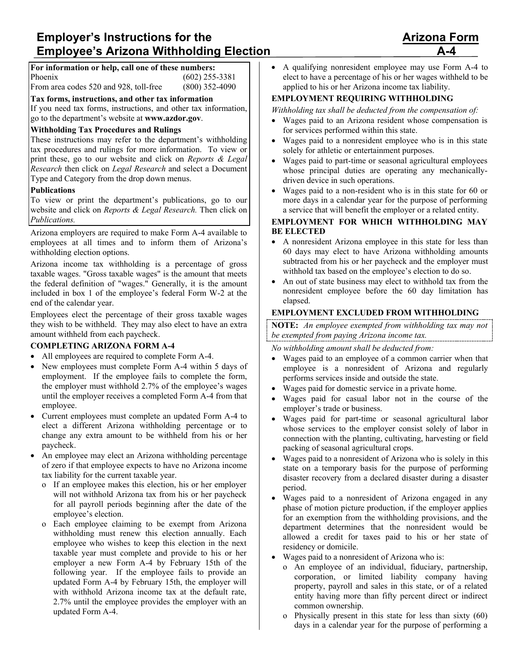# **Employer's Instructions for the <b>Arizona Form A**rizona Form **Employee's Arizona Withholding Election**

#### **For information or help, call one of these numbers:** Phoenix (602) 255-3381 From area codes 520 and 928, toll-free (800) 352-4090

**Tax forms, instructions, and other tax information**

If you need tax forms, instructions, and other tax information, go to the department's website at **www.azdor.gov**.

### **Withholding Tax Procedures and Rulings**

These instructions may refer to the department's withholding tax procedures and rulings for more information. To view or print these, go to our website and click on *Reports & Legal Research* then click on *Legal Research* and select a Document Type and Category from the drop down menus.

#### **Publications**

To view or print the department's publications, go to our website and click on *Reports & Legal Research.* Then click on *Publications.*

Arizona employers are required to make Form A-4 available to employees at all times and to inform them of Arizona's withholding election options.

Arizona income tax withholding is a percentage of gross taxable wages. "Gross taxable wages" is the amount that meets the federal definition of "wages." Generally, it is the amount included in box 1 of the employee's federal Form W-2 at the end of the calendar year.

Employees elect the percentage of their gross taxable wages they wish to be withheld. They may also elect to have an extra amount withheld from each paycheck.

### **COMPLETING ARIZONA FORM A-4**

- All employees are required to complete Form A-4.
- New employees must complete Form A-4 within 5 days of employment. If the employee fails to complete the form, the employer must withhold 2.7% of the employee's wages until the employer receives a completed Form A-4 from that employee.
- Current employees must complete an updated Form A-4 to elect a different Arizona withholding percentage or to change any extra amount to be withheld from his or her paycheck.
- An employee may elect an Arizona withholding percentage of zero if that employee expects to have no Arizona income tax liability for the current taxable year.
	- o If an employee makes this election, his or her employer will not withhold Arizona tax from his or her paycheck for all payroll periods beginning after the date of the employee's election.
	- o Each employee claiming to be exempt from Arizona withholding must renew this election annually. Each employee who wishes to keep this election in the next taxable year must complete and provide to his or her employer a new Form A-4 by February 15th of the following year. If the employee fails to provide an updated Form A-4 by February 15th, the employer will with withhold Arizona income tax at the default rate, 2.7% until the employee provides the employer with an updated Form A-4.

• A qualifying nonresident employee may use Form A-4 to elect to have a percentage of his or her wages withheld to be applied to his or her Arizona income tax liability.

#### **EMPLOYMENT REQUIRING WITHHOLDING**

*Withholding tax shall be deducted from the compensation of:*

- Wages paid to an Arizona resident whose compensation is for services performed within this state.
- Wages paid to a nonresident employee who is in this state solely for athletic or entertainment purposes.
- Wages paid to part-time or seasonal agricultural employees whose principal duties are operating any mechanicallydriven device in such operations.
- Wages paid to a non-resident who is in this state for 60 or more days in a calendar year for the purpose of performing a service that will benefit the employer or a related entity.

#### **EMPLOYMENT FOR WHICH WITHHOLDING MAY BE ELECTED**

- A nonresident Arizona employee in this state for less than 60 days may elect to have Arizona withholding amounts subtracted from his or her paycheck and the employer must withhold tax based on the employee's election to do so.
- An out of state business may elect to withhold tax from the nonresident employee before the 60 day limitation has elapsed.

#### **EMPLOYMENT EXCLUDED FROM WITHHOLDING**

**NOTE:** *An employee exempted from withholding tax may not be exempted from paying Arizona income tax.*

*No withholding amount shall be deducted from:*

- Wages paid to an employee of a common carrier when that employee is a nonresident of Arizona and regularly performs services inside and outside the state.
- Wages paid for domestic service in a private home.
- Wages paid for casual labor not in the course of the employer's trade or business.
- Wages paid for part-time or seasonal agricultural labor whose services to the employer consist solely of labor in connection with the planting, cultivating, harvesting or field packing of seasonal agricultural crops.
- Wages paid to a nonresident of Arizona who is solely in this state on a temporary basis for the purpose of performing disaster recovery from a declared disaster during a disaster period.
- Wages paid to a nonresident of Arizona engaged in any phase of motion picture production, if the employer applies for an exemption from the withholding provisions, and the department determines that the nonresident would be allowed a credit for taxes paid to his or her state of residency or domicile.
- Wages paid to a nonresident of Arizona who is:
	- o An employee of an individual, fiduciary, partnership, corporation, or limited liability company having property, payroll and sales in this state, or of a related entity having more than fifty percent direct or indirect common ownership.
	- o Physically present in this state for less than sixty (60) days in a calendar year for the purpose of performing a